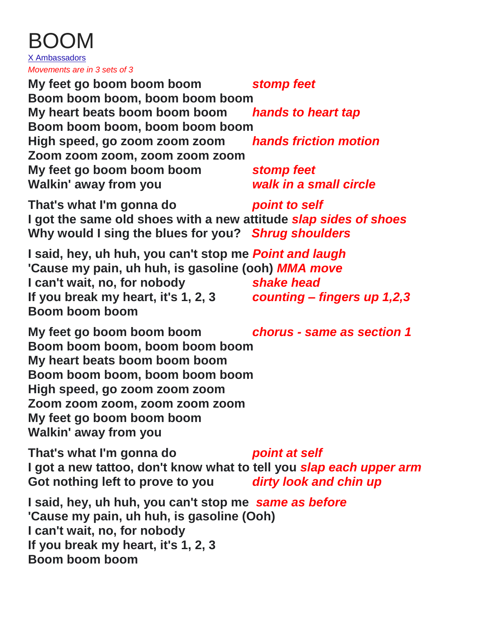| X Ambassadors<br>Movements are in 3 sets of 3                                                                                                                                                                                                                                         |                                           |
|---------------------------------------------------------------------------------------------------------------------------------------------------------------------------------------------------------------------------------------------------------------------------------------|-------------------------------------------|
| My feet go boom boom boom                                                                                                                                                                                                                                                             | stomp feet                                |
| Boom boom boom, boom boom boom                                                                                                                                                                                                                                                        |                                           |
| My heart beats boom boom boom                                                                                                                                                                                                                                                         | hands to heart tap                        |
| Boom boom boom, boom boom boom                                                                                                                                                                                                                                                        |                                           |
| High speed, go zoom zoom zoom<br>Zoom zoom zoom, zoom zoom zoom                                                                                                                                                                                                                       | hands friction motion                     |
| My feet go boom boom boom                                                                                                                                                                                                                                                             | stomp feet                                |
| Walkin' away from you                                                                                                                                                                                                                                                                 | walk in a small circle                    |
| That's what I'm gonna do<br>I got the same old shoes with a new attitude slap sides of shoes<br>Why would I sing the blues for you? Shrug shoulders                                                                                                                                   | point to self                             |
| I said, hey, uh huh, you can't stop me Point and laugh<br>'Cause my pain, uh huh, is gasoline (ooh) <i>MMA move</i><br>I can't wait, no, for nobody<br>If you break my heart, it's 1, 2, 3<br>Boom boom boom                                                                          | shake head<br>counting – fingers up 1,2,3 |
| My feet go boom boom boom<br>chorus - same as section 1<br>Boom boom boom, boom boom boom<br>My heart beats boom boom boom<br>Boom boom boom, boom boom boom<br>High speed, go zoom zoom zoom<br>Zoom zoom zoom, zoom zoom zoom<br>My feet go boom boom boom<br>Walkin' away from you |                                           |
| That's what I'm gonna do<br>I got a new tattoo, don't know what to tell you slap each upper arm<br>Got nothing left to prove to you dirty look and chin up                                                                                                                            | point at self                             |
| I said, hey, uh huh, you can't stop me same as before<br>'Cause my pain, uh huh, is gasoline (Ooh)<br>I can't wait, no, for nobody<br>If you break my heart, it's 1, 2, 3<br><b>Boom boom boom</b>                                                                                    |                                           |

BOOM